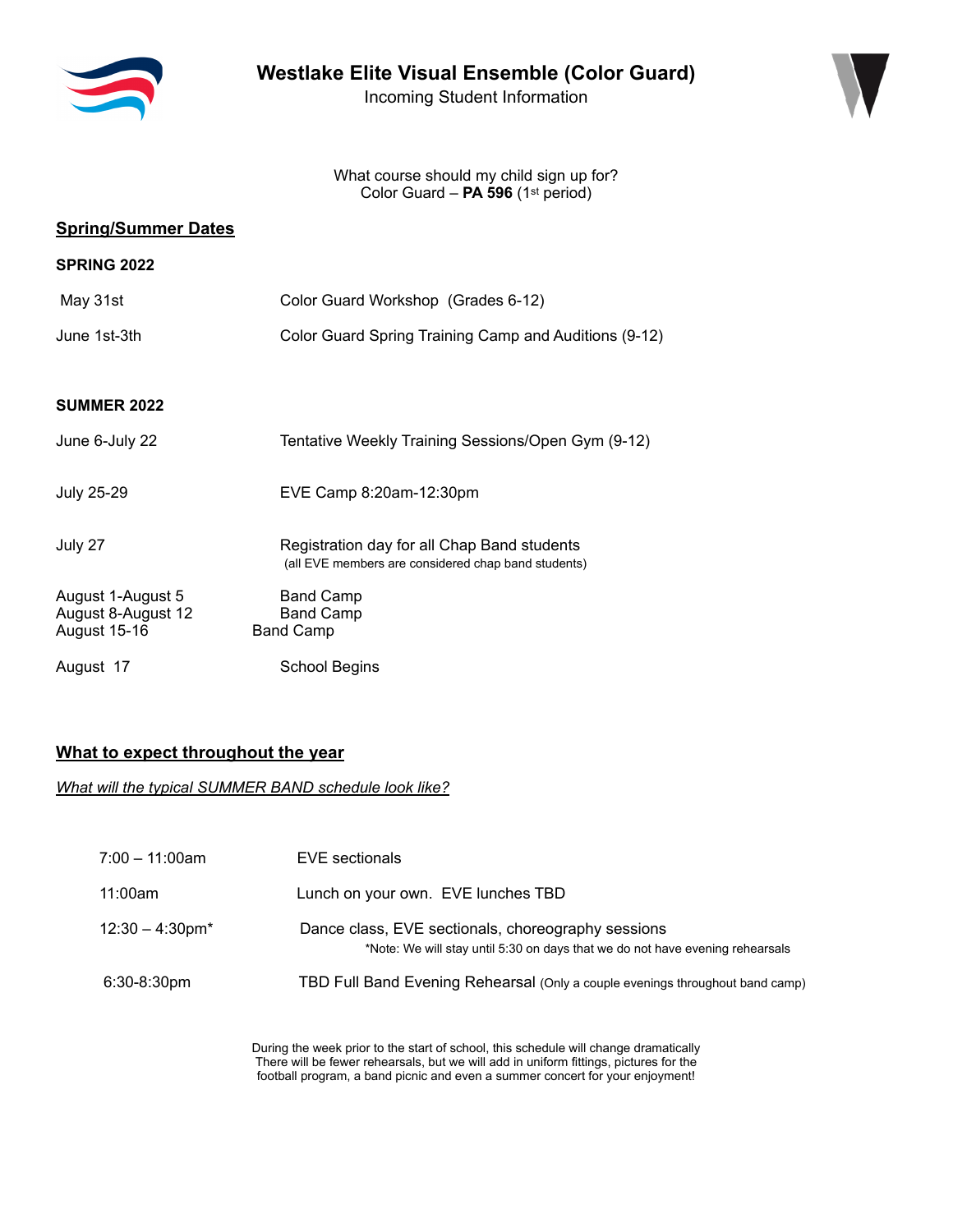

Incoming Student Information



What course should my child sign up for? Color Guard – **PA 596** (1st period)

### **Spring/Summer Dates**

| <b>SPRING 2022</b>                                             |                                                                                                    |
|----------------------------------------------------------------|----------------------------------------------------------------------------------------------------|
| May 31st                                                       | Color Guard Workshop (Grades 6-12)                                                                 |
| June 1st-3th                                                   | Color Guard Spring Training Camp and Auditions (9-12)                                              |
|                                                                |                                                                                                    |
| <b>SUMMER 2022</b>                                             |                                                                                                    |
| June 6-July 22                                                 | Tentative Weekly Training Sessions/Open Gym (9-12)                                                 |
| <b>July 25-29</b>                                              | EVE Camp 8:20am-12:30pm                                                                            |
| July 27                                                        | Registration day for all Chap Band students<br>(all EVE members are considered chap band students) |
| August 1-August 5<br>August 8-August 12<br><b>August 15-16</b> | <b>Band Camp</b><br><b>Band Camp</b><br><b>Band Camp</b>                                           |
| August 17                                                      | <b>School Begins</b>                                                                               |

## **What to expect throughout the year**

*What will the typical SUMMER BAND schedule look like?*

| $7:00 - 11:00$ am  | EVE sectionals                                                                                                                      |
|--------------------|-------------------------------------------------------------------------------------------------------------------------------------|
| 11:00am            | Lunch on your own. EVE lunches TBD                                                                                                  |
| $12:30 - 4:30$ pm* | Dance class, EVE sectionals, choreography sessions<br>*Note: We will stay until 5:30 on days that we do not have evening rehearsals |
| $6:30-8:30pm$      | TBD Full Band Evening Rehearsal (Only a couple evenings throughout band camp)                                                       |
|                    |                                                                                                                                     |

During the week prior to the start of school, this schedule will change dramatically There will be fewer rehearsals, but we will add in uniform fittings, pictures for the football program, a band picnic and even a summer concert for your enjoyment!